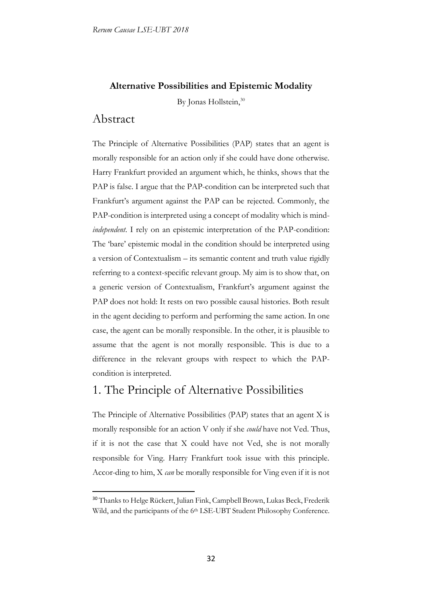#### **Alternative Possibilities and Epistemic Modality**

By Jonas Hollstein,<sup>30</sup>

### Abstract

-

The Principle of Alternative Possibilities (PAP) states that an agent is morally responsible for an action only if she could have done otherwise. Harry Frankfurt provided an argument which, he thinks, shows that the PAP is false. I argue that the PAP-condition can be interpreted such that Frankfurt's argument against the PAP can be rejected. Commonly, the PAP-condition is interpreted using a concept of modality which is mind*independent*. I rely on an epistemic interpretation of the PAP-condition: The 'bare' epistemic modal in the condition should be interpreted using a version of Contextualism – its semantic content and truth value rigidly referring to a context-specific relevant group. My aim is to show that, on a generic version of Contextualism, Frankfurt's argument against the PAP does not hold: It rests on two possible causal histories. Both result in the agent deciding to perform and performing the same action. In one case, the agent can be morally responsible. In the other, it is plausible to assume that the agent is not morally responsible. This is due to a difference in the relevant groups with respect to which the PAPcondition is interpreted.

## 1. The Principle of Alternative Possibilities

The Principle of Alternative Possibilities (PAP) states that an agent X is morally responsible for an action V only if she *could* have not Ved. Thus, if it is not the case that X could have not Ved, she is not morally responsible for Ving. Harry Frankfurt took issue with this principle. Accor-ding to him, X *can* be morally responsible for Ving even if it is not

<sup>&</sup>lt;sup>30</sup> Thanks to Helge Rückert, Julian Fink, Campbell Brown, Lukas Beck, Frederik Wild, and the participants of the 6th LSE-UBT Student Philosophy Conference.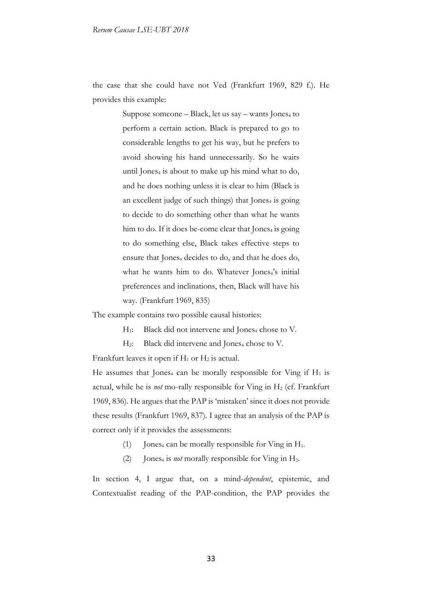the case that she could have not Ved (Frankfurt 1969, 829 f.). He provides this example:

> Suppose someone – Black, let us say – wants Jones<sub>4</sub> to perform a certain action. Black is prepared to go to considerable lengths to get his way, but he prefers to avoid showing his hand unnecessarily. So he waits until Jones $_4$  is about to make up his mind what to do, and he does nothing unless it is clear to him (Black is an excellent judge of such things) that  $Iones<sub>4</sub>$  is going to decide to do something other than what he wants him to do. If it does be-come clear that Jones $_4$  is going to do something else, Black takes effective steps to ensure that Jones<sub>4</sub> decides to do, and that he does do, what he wants him to do. Whatever Jones<sub>4</sub>'s initial preferences and inclinations, then, Black will have his way. (Frankfurt 1969, 835)

The example contains two possible causal histories:

H<sub>1</sub>: Black did not intervene and Jones<sub>4</sub> chose to V.

H<sub>2</sub>: Black did intervene and Jones<sub>4</sub> chose to V.

Frankfurt leaves it open if  $H_1$  or  $H_2$  is actual.

He assumes that Jones<sub>4</sub> can be morally responsible for Ving if  $H_1$  is actual, while he is *not* mo-rally responsible for Ving in H<sub>2</sub> (cf. Frankfurt 1969, 836). He argues that the PAP is 'mistaken' since it does not provide these results (Frankfurt 1969, 837). I agree that an analysis of the PAP is correct only if it provides the assessments:

- (1) Jones<sub>4</sub> can be morally responsible for Ving in  $H_1$ .
- (2) Jones<sub>4</sub> is *not* morally responsible for Ving in  $H_2$ .

In section 4, I argue that, on a mind-*dependent*, epistemic, and Contextualist reading of the PAP-condition, the PAP provides the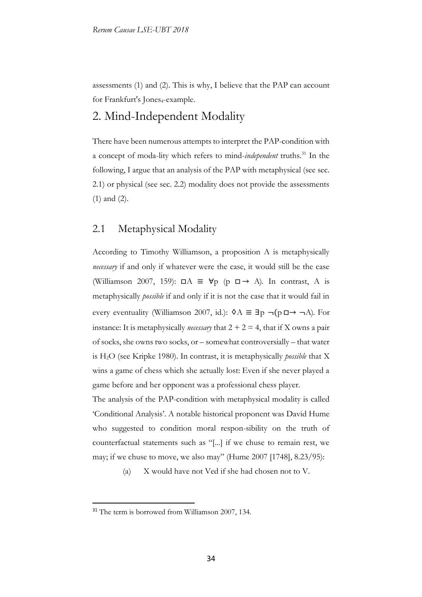assessments (1) and (2). This is why, I believe that the PAP can account for Frankfurt's Jones<sub>4</sub>-example.

## 2. Mind-Independent Modality

There have been numerous attempts to interpret the PAP-condition with a concept of moda-lity which refers to mind-*independent* truths.<sup>31</sup> In the following, I argue that an analysis of the PAP with metaphysical (see sec. 2.1) or physical (see sec. 2.2) modality does not provide the assessments (1) and (2).

#### 2.1 Metaphysical Modality

According to Timothy Williamson, a proposition A is metaphysically *necessary* if and only if whatever were the case, it would still be the case (Williamson 2007, 159):  $\Box A \equiv \forall p \ (\rho \ \Box \rightarrow A)$ . In contrast, A is metaphysically *possible* if and only if it is not the case that it would fail in every eventuality (Williamson 2007, id.):  $\Diamond A \equiv \exists p \neg (p \Box \rightarrow \neg A)$ . For instance: It is metaphysically *necessary* that  $2 + 2 = 4$ , that if X owns a pair of socks, she owns two socks, or – somewhat controversially – that water is H2O (see Kripke 1980). In contrast, it is metaphysically *possible* that X wins a game of chess which she actually lost: Even if she never played a game before and her opponent was a professional chess player.

The analysis of the PAP-condition with metaphysical modality is called 'Conditional Analysis'. A notable historical proponent was David Hume who suggested to condition moral respon-sibility on the truth of counterfactual statements such as "[...] if we chuse to remain rest, we may; if we chuse to move, we also may" (Hume 2007 [1748], 8.23/95):

(a) X would have not Ved if she had chosen not to V.

<u>.</u>

<sup>&</sup>lt;sup>31</sup> The term is borrowed from Williamson 2007, 134.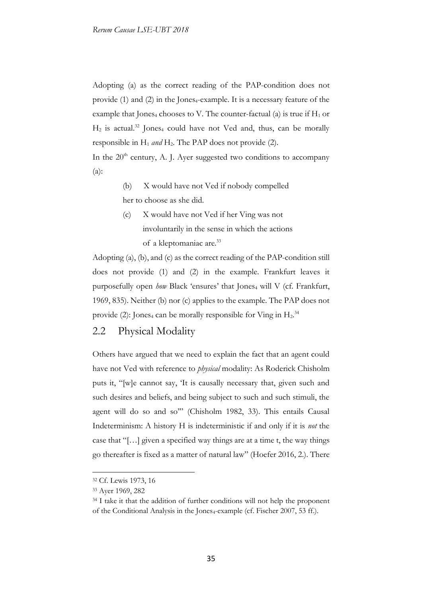Adopting (a) as the correct reading of the PAP-condition does not provide  $(1)$  and  $(2)$  in the Jones<sub>4</sub>-example. It is a necessary feature of the example that Jones<sub>4</sub> chooses to V. The counter-factual (a) is true if  $H_1$  or  $H_2$  is actual.<sup>32</sup> Jones<sub>4</sub> could have not Ved and, thus, can be morally responsible in  $H_1$  *and*  $H_2$ . The PAP does not provide (2).

In the 20<sup>th</sup> century, A. J. Ayer suggested two conditions to accompany (a):

- (b) X would have not Ved if nobody compelled her to choose as she did.
- (c) X would have not Ved if her Ving was not involuntarily in the sense in which the actions of a kleptomaniac are.<sup>33</sup>

Adopting (a), (b), and (c) as the correct reading of the PAP-condition still does not provide (1) and (2) in the example. Frankfurt leaves it purposefully open *how* Black 'ensures' that Jones<sub>4</sub> will V (cf. Frankfurt, 1969, 835). Neither (b) nor (c) applies to the example. The PAP does not provide (2): Jones<sub>4</sub> can be morally responsible for Ving in  $H_2$ .<sup>34</sup>

#### 2.2 Physical Modality

Others have argued that we need to explain the fact that an agent could have not Ved with reference to *physical* modality: As Roderick Chisholm puts it, "[w]e cannot say, 'It is causally necessary that, given such and such desires and beliefs, and being subject to such and such stimuli, the agent will do so and so'" (Chisholm 1982, 33). This entails Causal Indeterminism: A history H is indeterministic if and only if it is *not* the case that "[…] given a specified way things are at a time t, the way things go thereafter is fixed as a matter of natural law" (Hoefer 2016, 2.). There

<u>.</u>

<sup>32</sup> Cf. Lewis 1973, 16

<sup>33</sup> Ayer 1969, 282

<sup>&</sup>lt;sup>34</sup> I take it that the addition of further conditions will not help the proponent of the Conditional Analysis in the Jones<sub>4</sub>-example (cf. Fischer 2007, 53 ff.).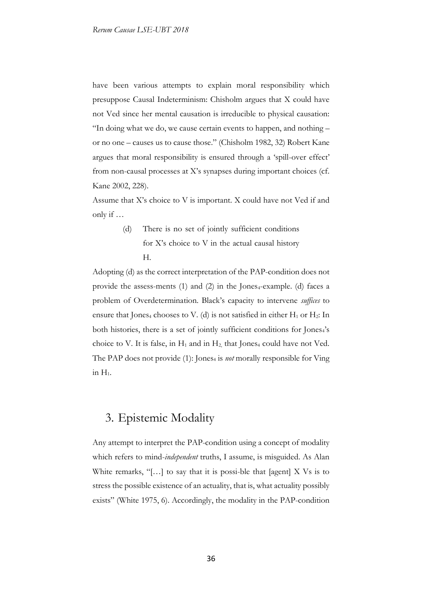have been various attempts to explain moral responsibility which presuppose Causal Indeterminism: Chisholm argues that X could have not Ved since her mental causation is irreducible to physical causation: "In doing what we do, we cause certain events to happen, and nothing – or no one – causes us to cause those." (Chisholm 1982, 32) Robert Kane argues that moral responsibility is ensured through a 'spill-over effect' from non-causal processes at X's synapses during important choices (cf. Kane 2002, 228).

Assume that X's choice to V is important. X could have not Ved if and only if …

> (d) There is no set of jointly sufficient conditions for X's choice to V in the actual causal history H.

Adopting (d) as the correct interpretation of the PAP-condition does not provide the assess-ments  $(1)$  and  $(2)$  in the Jones<sub>4</sub>-example.  $(d)$  faces a problem of Overdetermination. Black's capacity to intervene *suffices* to ensure that Jones<sub>4</sub> chooses to V. (d) is not satisfied in either  $H_1$  or  $H_2$ : In both histories, there is a set of jointly sufficient conditions for Jones4's choice to V. It is false, in  $H_1$  and in  $H_2$ , that Jones<sub>4</sub> could have not Ved. The PAP does not provide (1): Jones<sub>4</sub> is *not* morally responsible for Ving in  $H_1$ .

## 3. Epistemic Modality

Any attempt to interpret the PAP-condition using a concept of modality which refers to mind-*independent* truths, I assume, is misguided. As Alan White remarks, "[ $\dots$ ] to say that it is possi-ble that [agent] X Vs is to stress the possible existence of an actuality, that is, what actuality possibly exists" (White 1975, 6). Accordingly, the modality in the PAP-condition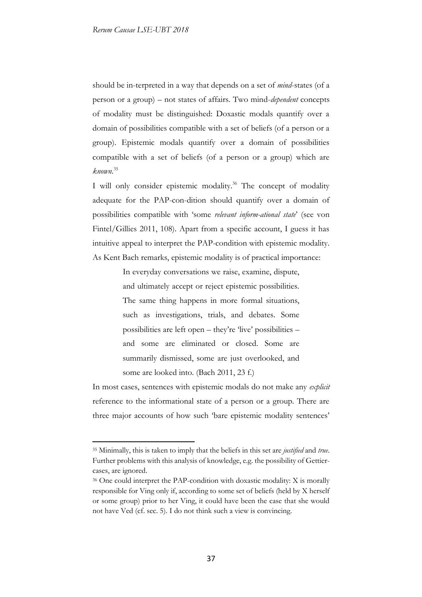should be in-terpreted in a way that depends on a set of *mind*-states (of a person or a group) – not states of affairs. Two mind-*dependent* concepts of modality must be distinguished: Doxastic modals quantify over a domain of possibilities compatible with a set of beliefs (of a person or a group). Epistemic modals quantify over a domain of possibilities compatible with a set of beliefs (of a person or a group) which are *known*. 35

I will only consider epistemic modality.<sup>36</sup> The concept of modality adequate for the PAP-con-dition should quantify over a domain of possibilities compatible with 'some *relevant inform-ational state*' (see von Fintel/Gillies 2011, 108). Apart from a specific account, I guess it has intuitive appeal to interpret the PAP-condition with epistemic modality. As Kent Bach remarks, epistemic modality is of practical importance:

> In everyday conversations we raise, examine, dispute, and ultimately accept or reject epistemic possibilities. The same thing happens in more formal situations, such as investigations, trials, and debates. Some possibilities are left open – they're 'live' possibilities – and some are eliminated or closed. Some are summarily dismissed, some are just overlooked, and some are looked into. (Bach 2011, 23 f.)

In most cases, sentences with epistemic modals do not make any *explicit* reference to the informational state of a person or a group. There are three major accounts of how such 'bare epistemic modality sentences'

<sup>35</sup> Minimally, this is taken to imply that the beliefs in this set are *justified* and *true*. Further problems with this analysis of knowledge, e.g. the possibility of Gettiercases, are ignored.

<sup>36</sup> One could interpret the PAP-condition with doxastic modality: X is morally responsible for Ving only if, according to some set of beliefs (held by X herself or some group) prior to her Ving, it could have been the case that she would not have Ved (cf. sec. 5). I do not think such a view is convincing.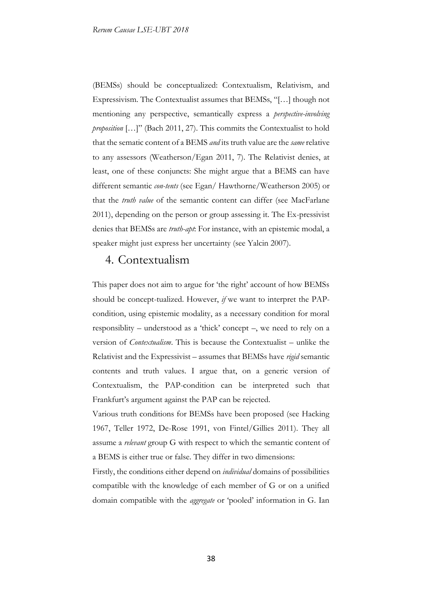(BEMSs) should be conceptualized: Contextualism, Relativism, and Expressivism. The Contextualist assumes that BEMSs, "[…] though not mentioning any perspective, semantically express a *perspective-involving proposition* […]" (Bach 2011, 27). This commits the Contextualist to hold that the sematic content of a BEMS *and* its truth value are the *same* relative to any assessors (Weatherson/Egan 2011, 7). The Relativist denies, at least, one of these conjuncts: She might argue that a BEMS can have different semantic *con-tents* (see Egan/ Hawthorne/Weatherson 2005) or that the *truth value* of the semantic content can differ (see MacFarlane 2011), depending on the person or group assessing it. The Ex-pressivist denies that BEMSs are *truth-apt*: For instance, with an epistemic modal, a speaker might just express her uncertainty (see Yalcin 2007).

#### 4. Contextualism

This paper does not aim to argue for 'the right' account of how BEMSs should be concept-tualized. However, *if* we want to interpret the PAPcondition, using epistemic modality, as a necessary condition for moral responsiblity – understood as a 'thick' concept –, we need to rely on a version of *Contextualism*. This is because the Contextualist – unlike the Relativist and the Expressivist – assumes that BEMSs have *rigid* semantic contents and truth values. I argue that, on a generic version of Contextualism, the PAP-condition can be interpreted such that Frankfurt's argument against the PAP can be rejected.

Various truth conditions for BEMSs have been proposed (see Hacking 1967, Teller 1972, De-Rose 1991, von Fintel/Gillies 2011). They all assume a *relevant* group G with respect to which the semantic content of a BEMS is either true or false. They differ in two dimensions:

Firstly, the conditions either depend on *individual* domains of possibilities compatible with the knowledge of each member of G or on a unified domain compatible with the *aggregate* or 'pooled' information in G. Ian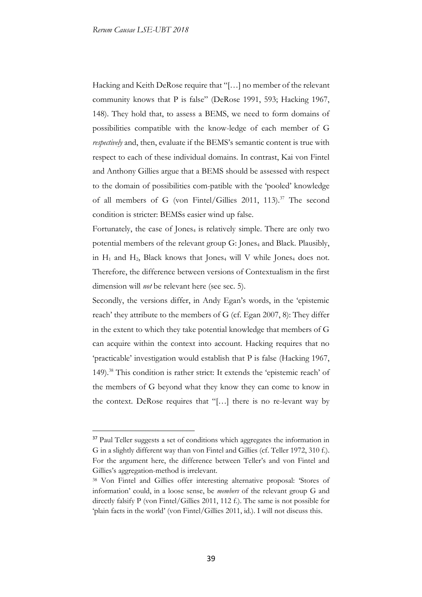Hacking and Keith DeRose require that "[…] no member of the relevant community knows that P is false" (DeRose 1991, 593; Hacking 1967, 148). They hold that, to assess a BEMS, we need to form domains of possibilities compatible with the know-ledge of each member of G *respectively* and, then, evaluate if the BEMS's semantic content is true with respect to each of these individual domains. In contrast, Kai von Fintel and Anthony Gillies argue that a BEMS should be assessed with respect to the domain of possibilities com-patible with the 'pooled' knowledge of all members of G (von Fintel/Gillies 2011, 113).<sup>37</sup> The second condition is stricter: BEMSs easier wind up false.

Fortunately, the case of Jones<sub>4</sub> is relatively simple. There are only two potential members of the relevant group G: Jones<sub>4</sub> and Black. Plausibly, in  $H_1$  and  $H_2$ , Black knows that Jones<sub>4</sub> will V while Jones<sub>4</sub> does not. Therefore, the difference between versions of Contextualism in the first dimension will *not* be relevant here (see sec. 5).

Secondly, the versions differ, in Andy Egan's words, in the 'epistemic reach' they attribute to the members of G (cf. Egan 2007, 8): They differ in the extent to which they take potential knowledge that members of G can acquire within the context into account. Hacking requires that no 'practicable' investigation would establish that P is false (Hacking 1967, 149).<sup>38</sup> This condition is rather strict: It extends the 'epistemic reach' of the members of G beyond what they know they can come to know in the context. DeRose requires that "[…] there is no re-levant way by

<sup>&</sup>lt;sup>37</sup> Paul Teller suggests a set of conditions which aggregates the information in G in a slightly different way than von Fintel and Gillies (cf. Teller 1972, 310 f.). For the argument here, the difference between Teller's and von Fintel and Gillies's aggregation-method is irrelevant.

<sup>38</sup> Von Fintel and Gillies offer interesting alternative proposal: 'Stores of information' could, in a loose sense, be *members* of the relevant group G and directly falsify P (von Fintel/Gillies 2011, 112 f.). The same is not possible for 'plain facts in the world' (von Fintel/Gillies 2011, id.). I will not discuss this.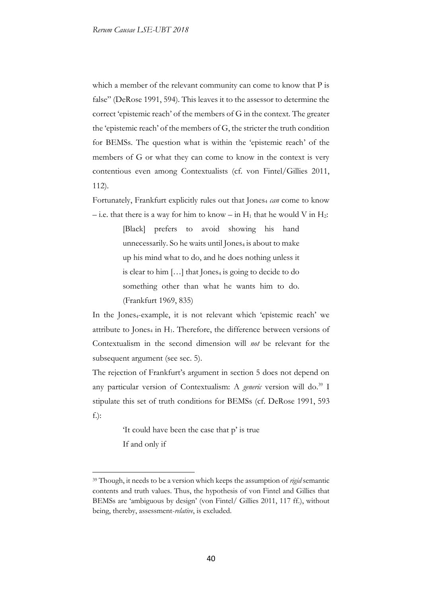which a member of the relevant community can come to know that P is false" (DeRose 1991, 594). This leaves it to the assessor to determine the correct 'epistemic reach' of the members of G in the context. The greater the 'epistemic reach' of the members of G, the stricter the truth condition for BEMSs. The question what is within the 'epistemic reach' of the members of G or what they can come to know in the context is very contentious even among Contextualists (cf. von Fintel/Gillies 2011, 112).

Fortunately, Frankfurt explicitly rules out that Jones<sub>4</sub> can come to know – i.e. that there is a way for him to know – in  $H_1$  that he would V in  $H_2$ :

> [Black] prefers to avoid showing his hand unnecessarily. So he waits until Jones<sub>4</sub> is about to make up his mind what to do, and he does nothing unless it is clear to him  $[\dots]$  that Jones<sub>4</sub> is going to decide to do something other than what he wants him to do. (Frankfurt 1969, 835)

In the Jones<sub>4</sub>-example, it is not relevant which 'epistemic reach' we attribute to Jones<sub>4</sub> in H<sub>1</sub>. Therefore, the difference between versions of Contextualism in the second dimension will *not* be relevant for the subsequent argument (see sec. 5).

The rejection of Frankfurt's argument in section 5 does not depend on any particular version of Contextualism: A *generic* version will do.<sup>39</sup> I stipulate this set of truth conditions for BEMSs (cf. DeRose 1991, 593 f.):

> 'It could have been the case that p' is true If and only if

<sup>39</sup> Though, it needs to be a version which keeps the assumption of *rigid* semantic contents and truth values. Thus, the hypothesis of von Fintel and Gillies that BEMSs are 'ambiguous by design' (von Fintel/ Gillies 2011, 117 ff.), without being, thereby, assessment-*relative*, is excluded.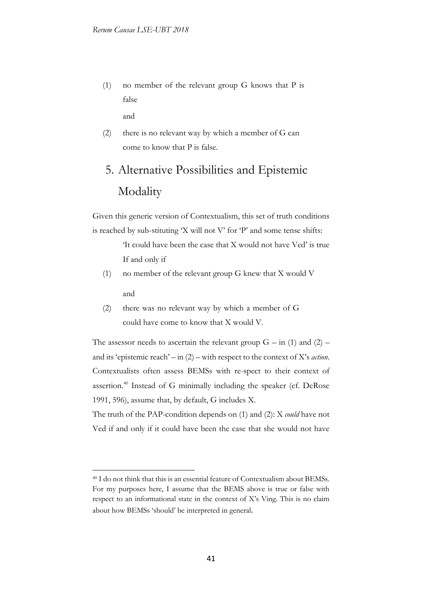(1) no member of the relevant group G knows that P is false

and

-

(2) there is no relevant way by which a member of G can come to know that P is false.

# 5. Alternative Possibilities and Epistemic Modality

Given this generic version of Contextualism, this set of truth conditions is reached by sub-stituting 'X will not V' for 'P' and some tense shifts:

> 'It could have been the case that X would not have Ved' is true If and only if

- (1) no member of the relevant group G knew that X would V and
- (2) there was no relevant way by which a member of G could have come to know that X would V.

The assessor needs to ascertain the relevant group  $G - in (1)$  and  $(2)$ and its 'epistemic reach' – in (2) – with respect to the context of X's *action*. Contextualists often assess BEMSs with re-spect to their context of assertion.<sup>40</sup> Instead of G minimally including the speaker (cf. DeRose 1991, 596), assume that, by default, G includes X.

The truth of the PAP-condition depends on (1) and (2): X *could* have not Ved if and only if it could have been the case that she would not have

<sup>40</sup> I do not think that this is an essential feature of Contextualism about BEMSs. For my purposes here, I assume that the BEMS above is true or false with respect to an informational state in the context of X's Ving. This is no claim about how BEMSs 'should' be interpreted in general.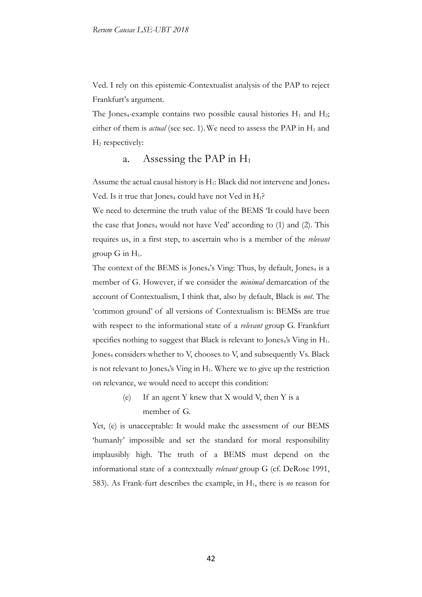Ved. I rely on this epistemic-Contextualist analysis of the PAP to reject Frankfurt's argument.

The Jones<sub>4</sub>-example contains two possible causal histories  $H_1$  and  $H_2$ ; either of them is *actual* (see sec. 1). We need to assess the PAP in H<sub>1</sub> and H<sup>2</sup> respectively:

#### a. Assessing the PAP in  $H_1$

Assume the actual causal history is H<sub>1</sub>: Black did not intervene and Jones<sub>4</sub> Ved. Is it true that Jones<sub>4</sub> could have not Ved in  $H_1$ ?

We need to determine the truth value of the BEMS 'It could have been the case that Jones<sub>4</sub> would not have Ved' according to  $(1)$  and  $(2)$ . This requires us, in a first step, to ascertain who is a member of the *relevant* group  $G$  in  $H_1$ .

The context of the BEMS is Jones $_4$ 's Ving: Thus, by default, Jones $_4$  is a member of G. However, if we consider the *minimal* demarcation of the account of Contextualism, I think that, also by default, Black is *not*. The 'common ground' of all versions of Contextualism is: BEMSs are true with respect to the informational state of a *relevant* group G. Frankfurt specifies nothing to suggest that Black is relevant to Jones $_4$ 's Ving in  $H_1$ . Jones<sub>4</sub> considers whether to V, chooses to V, and subsequently Vs. Black is not relevant to Jones $_4$ 's Ving in  $H_1$ . Where we to give up the restriction on relevance, we would need to accept this condition:

> (e) If an agent Y knew that X would V, then Y is a member of G.

Yet, (e) is unacceptable: It would make the assessment of our BEMS 'humanly' impossible and set the standard for moral responsibility implausibly high. The truth of a BEMS must depend on the informational state of a contextually *relevant* group G (cf. DeRose 1991, 583). As Frank-furt describes the example, in H1, there is *no* reason for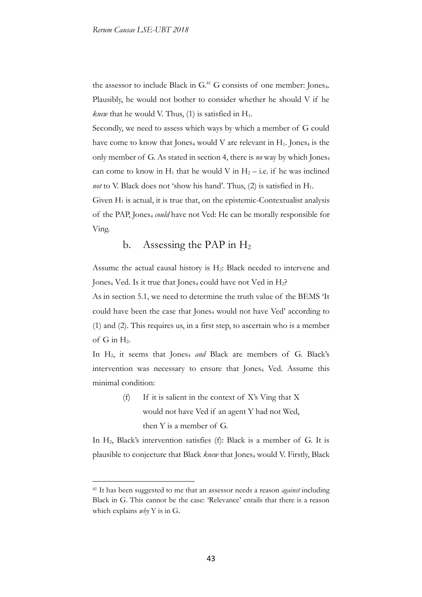the assessor to include Black in G.<sup>41</sup> G consists of one member: Jones<sub>4</sub>. Plausibly, he would not bother to consider whether he should V if he *knew* that he would V. Thus,  $(1)$  is satisfied in  $H_1$ .

Secondly, we need to assess which ways by which a member of G could have come to know that Jones<sub>4</sub> would V are relevant in  $H_1$ . Jones<sub>4</sub> is the only member of G. As stated in section 4, there is *no* way by which Jones<sup>4</sup> can come to know in  $H_1$  that he would V in  $H_2$  – i.e. if he was inclined *not* to V. Black does not 'show his hand'. Thus,  $(2)$  is satisfied in  $H_1$ .

Given  $H_1$  is actual, it is true that, on the epistemic-Contextualist analysis of the PAP, Jones<sup>4</sup> *could* have not Ved: He can be morally responsible for Ving.

b. Assessing the PAP in  $H_2$ 

Assume the actual causal history is  $H_2$ : Black needed to intervene and Jones<sub>4</sub> Ved. Is it true that Jones<sub>4</sub> could have not Ved in  $H_2$ ?

As in section 5.1, we need to determine the truth value of the BEMS 'It could have been the case that Jones<sub>4</sub> would not have Ved' according to (1) and (2). This requires us, in a first step, to ascertain who is a member of  $G$  in  $H_2$ .

In H<sub>2</sub>, it seems that Jones<sub>4</sub> and Black are members of G. Black's intervention was necessary to ensure that Jones<sub>4</sub> Ved. Assume this minimal condition:

> (f) If it is salient in the context of X's Ving that X would not have Ved if an agent Y had not Wed, then Y is a member of G.

In H2, Black's intervention satisfies (f): Black is a member of G. It is plausible to conjecture that Black *knew* that Jones<sub>4</sub> would V. Firstly, Black

<sup>41</sup> It has been suggested to me that an assessor needs a reason *against* including Black in G. This cannot be the case: 'Relevance' entails that there is a reason which explains *why* Y is in G.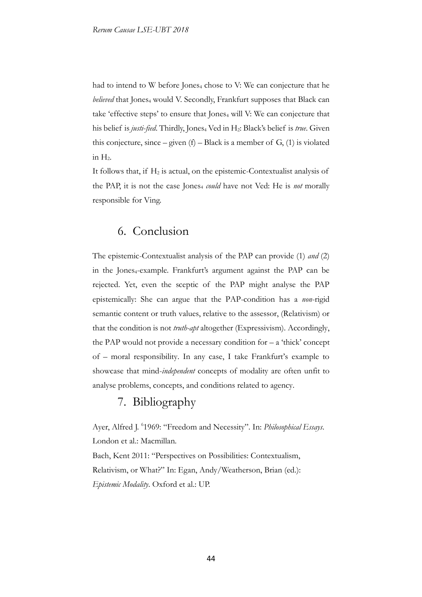had to intend to W before Jones<sub>4</sub> chose to V: We can conjecture that he *believed* that Jones<sub>4</sub> would V. Secondly, Frankfurt supposes that Black can take 'effective steps' to ensure that Jones<sub>4</sub> will V: We can conjecture that his belief is *justi-fied*. Thirdly, Jones<sub>4</sub> Ved in H<sub>2</sub>: Black's belief is *true*. Given this conjecture, since – given  $(f)$  – Black is a member of  $G$ ,  $(1)$  is violated in  $H<sub>2</sub>$ .

It follows that, if  $H_2$  is actual, on the epistemic-Contextualist analysis of the PAP, it is not the case Jones<sub>4</sub> *could* have not Ved: He is *not* morally responsible for Ving.

## 6. Conclusion

The epistemic-Contextualist analysis of the PAP can provide (1) *and* (2) in the Jones<sub>4</sub>-example. Frankfurt's argument against the PAP can be rejected. Yet, even the sceptic of the PAP might analyse the PAP epistemically: She can argue that the PAP-condition has a *non*-rigid semantic content or truth values, relative to the assessor, (Relativism) or that the condition is not *truth-apt* altogether (Expressivism). Accordingly, the PAP would not provide a necessary condition for  $- a$  'thick' concept of – moral responsibility. In any case, I take Frankfurt's example to showcase that mind-*independent* concepts of modality are often unfit to analyse problems, concepts, and conditions related to agency.

## 7. Bibliography

Ayer, Alfred J. <sup>6</sup>1969: "Freedom and Necessity". In: *Philosophical Essays*. London et al.: Macmillan.

Bach, Kent 2011: "Perspectives on Possibilities: Contextualism, Relativism, or What?" In: Egan, Andy/Weatherson, Brian (ed.): *Epistemic Modality*. Oxford et al.: UP.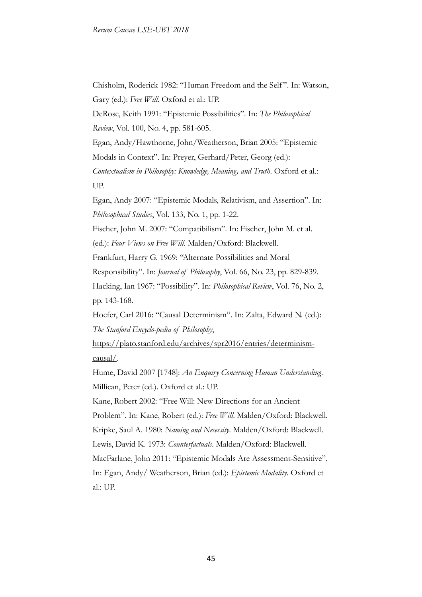Chisholm, Roderick 1982: "Human Freedom and the Self ". In: Watson, Gary (ed.): *Free Will*. Oxford et al.: UP.

DeRose, Keith 1991: "Epistemic Possibilities". In: *The Philosophical Review*, Vol. 100, No. 4, pp. 581-605.

Egan, Andy/Hawthorne, John/Weatherson, Brian 2005: "Epistemic Modals in Context". In: Preyer, Gerhard/Peter, Georg (ed.):

*Contextualism in Philosophy: Knowledge, Meaning, and Truth*. Oxford et al.: UP.

Egan, Andy 2007: "Epistemic Modals, Relativism, and Assertion". In: *Philosophical Studies*, Vol. 133, No. 1, pp. 1-22.

Fischer, John M. 2007: "Compatibilism". In: Fischer, John M. et al.

(ed.): *Four Views on Free Will*. Malden/Oxford: Blackwell.

Frankfurt, Harry G. 1969: "Alternate Possibilities and Moral

Responsibility". In: *Journal of Philosophy*, Vol. 66, No. 23, pp. 829-839.

Hacking, Ian 1967: "Possibility". In: *Philosophical Review*, Vol. 76, No. 2, pp. 143-168.

Hoefer, Carl 2016: "Causal Determinism". In: Zalta, Edward N. (ed.): *The Stanford Encyclo-pedia of Philosophy*,

https://plato.stanford.edu/archives/spr2016/entries/determinismcausal/.

Hume, David 2007 [1748]: *An Enquiry Concerning Human Understanding*. Millican, Peter (ed.). Oxford et al.: UP.

Kane, Robert 2002: "Free Will: New Directions for an Ancient Problem". In: Kane, Robert (ed.): *Free Will*. Malden/Oxford: Blackwell. Kripke, Saul A. 1980: *Naming and Necessity*. Malden/Oxford: Blackwell. Lewis, David K. 1973: *Counterfactuals*. Malden/Oxford: Blackwell. MacFarlane, John 2011: "Epistemic Modals Are Assessment-Sensitive". In: Egan, Andy/ Weatherson, Brian (ed.): *Epistemic Modality*. Oxford et al.: UP.